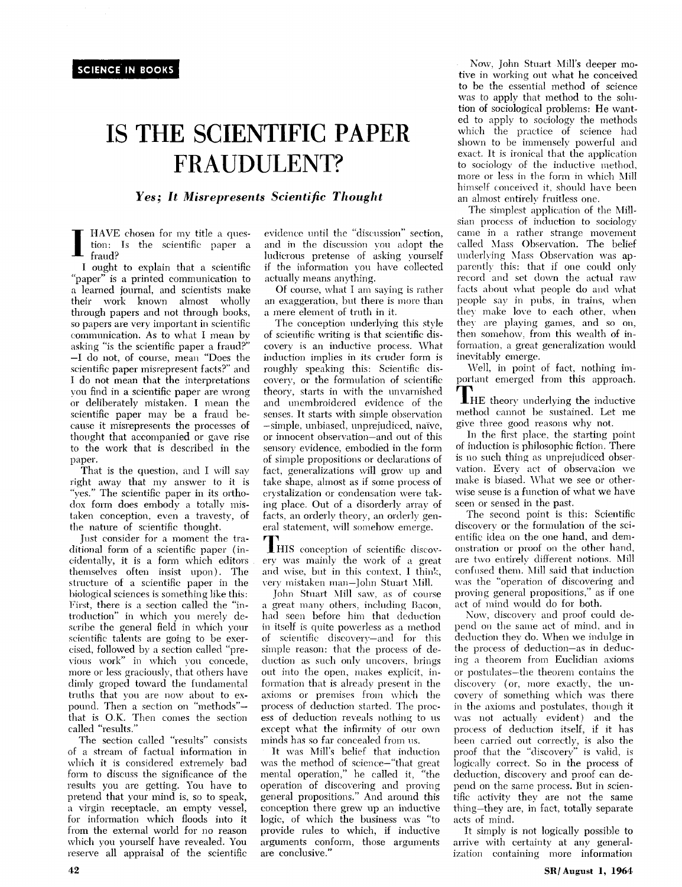## IS THE SCIENTIFIC PAPER FRAUDULENT?

*Yes; It Misrepresents Scientific Thought* 

1 HAVE chosen for my title a question: Is the scientific paper a fraud?

I ought to explain that a scientific 'paper" is a printed communication to a learned journal, and scientists make their work known almost wholly through papers and not through books, so papers are very important in scientific communication. As to what I mean by asking "is the scientific paper a fraud?" —I do not, of course, mean "Does the scientific paper misrepresent facts?" and I do not mean that the interpretations you find in a scientific paper are wrong or deliberately mistaken. I mean the scientific paper may be a fraud because it misrepresents the processes of thought that accompanied or gave rise to the work that is described in the paper.

That is the question, and I will say right away that my answer to it is "yes." The scientific paper in its orthodox form does embody a totally mistaken conception, even a travesty, of the nature of scientific thought.

Just consider for a moment the traditional form of a scientific paper (incidentally, it is a form which editors themselves often insist upon). The structure of a scientific paper in the biological sciences is something like this: First, there is a section called the "introduction" in which you merely describe the general field in which your scientific talents are going to be exercised, followed by a section called "previous work" in which you concede, more or less graciously, that others have dimly groped toward the fundamental truths that you are now about to expound. Then a section on "methods" that is O.K. Then comes the section called "results."

The section called "results" consists of a stream of factual information in which it is considered extremely bad form to discuss the significance of the results you are getting. You have to pretend that your mind is, so to speak, a virgin receptacle, an empty vessel, for information which floods into it from the external world for no reason which you yourself have revealed. You reserve all appraisal of the scientific

evidence until the "discussion" section, and in the discussion you adopt the ludicrous pretense of asking yourself if the information you have collected actually means anything.

Of course, what I am saying is rather an exaggeration, but there is more than a mere element of truth in it.

The conception underlying this style of scientific writing is that scientific discovery is an inductive process. What induction implies in its cruder form is roughly speaking this: Scientific discovery, or the formulation of scientific theory, starts in with the unvarnished and unembroidered evidence of the senses. It starts with simple observation —simple, unbiased, unprejudiced, naive, or innocent observation—and out of this sensory evidence, embodied in the form of simple propositions or declarations of fact, generalizations will grow up and take shape, almost as if some process of crystalization or condensation were taking place. Out of a disorderly array of facts, an orderly theory, an orderly general statement, will somehow emerge.

**THIS** conception of scientific discovery was mainly the work of a great and wise, but in this context. I think, very mistaken man—John Stuart Mill.

John Stuart Mill saw, as of course a great many others, including Bacon, had seen before him that deduction in itself is quite powerless as a method of scientific discovery-and for this simple reason: that the process of deduction as such only uncovers, brings out into the open, makes explicit, information that is already present in the axioms or premises from which the process of deduction started. The process of deduction reveals nothing to us except what the infirmity of our own minds has so far concealed from us.

It was Mill's belief that induction was the method of science—"that great mental operation," he called it, "the operation of discovering and proving general propositions." And around this conception there grew up an inductive logic, of which the business was "to provide rules to which, if inductive arguments conform, those arguments are conclusive.'

Now, John Stuart Mill's deeper motive in working out what he conceived to be the essential method of science was to apply that method to the solution of sociological problems: He wanted to apply to sociology the methods which the practice of science had shown to be immensely powerful and exact. It is ironical that the application to sociology of the inductive method, more or less in the form in which Mill himself conceived it, should have been an almost entirely fruitless one.

The simplest application of the Millsian process of induction to sociology came in a rather strange movement called Mass Observation. The belief underlying Mass Observation was apparently this: that if one could only record and set down the actual raw facts about what people do and what people say in pubs, in trains, when they make love to each other, when they are playing games, and so on, then somehow, from this wealth of information, a great generalization would inevitably emerge.

Well, in point of fact, nothing important emerged from this approach.

**LHE** theory underlying the inductive method cannot be sustained. Let me give three good reasons why not.

In the first place, the starting point of induction is philosophic fiction. There is no such thing as unprejudiced observation. Every act of observation we make is biased. What we see or otherwise sense is a function of what we have seen or sensed in the past.

The second point is this: Scientific discovery or the formulation of the scientific idea on the one hand, and demonstration or proof on the other hand, are two entirely different notions. Mill confused them. Mill said that induction was the "operation of discovering and proving general propositions," as if one act of mind would do for both.

Now, discovery and proof could depend on the same act of mind, and in deduction they do. When we indulge in the process of deduction—as in deducing a theorem from Euclidian axioms or postulates—the theorem contains the discovery (or, more exactly, the uncovery of something which was there in the axioms and postulates, though it was not actually evident) and the process of deduction itself, if it has been carried out correctly, is also the proof that the "discovery" is valid, is logically correct. So in the process of deduction, discovery and proof can depend on the same process. But in scientific activity they are not the same thing—they are, in fact, totally separate acts of mind.

It simply is not logically possible to arrive with certainty at any generalization containing more information